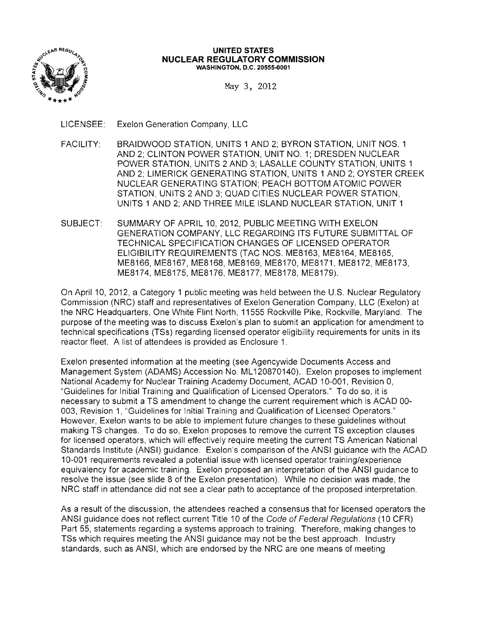

#### **UNITED STATES NUCLEAR REGULATORY COMMISSION WASHINGTON,** D.C. **20555-0001**

May 3, 2012

LICENSEE: Exelon Generation Company, LLC

- FACILITY: BRAIDWOOD STATION, UNITS 1 AND 2; BYRON STATION, UNIT NOS. 1 AND 2; CLINTON POWER STATION, UNIT NO.1; DRESDEN NUCLEAR POWER STATION, UNITS 2 AND 3; LASALLE COUNTY STATION, UNITS 1 AND 2; LIMERICK GENERATING STATION, UNITS 1 AND 2; OYSTER CREEK NUCLEAR GENERATING STATION; PEACH BOTTOM ATOMIC POWER STATION, UNITS 2 AND 3; QUAD CITIES NUCLEAR POWER STATION, UNITS 1 AND 2; AND THREE MILE ISLAND NUCLEAR STATION, UNIT 1
- SUBJECT: SUMMARY OF APRIL 10, 2012, PUBLIC MEETING WITH EXELON GENERATION COMPANY, LLC REGARDING ITS FUTURE SUBMITTAL OF TECHNICAL SPECIFICATION CHANGES OF LICENSED OPERATOR ELIGIBILITY REQUIREMENTS (TAC NOS. ME8163, ME8164, ME8165, ME8166, ME8167, ME8168, ME8169, ME8170, ME8171, ME8172, ME8173, ME8174, ME8175, ME8176, ME8177, ME8178, ME8179).

On April 10, 2012, a Category 1 public meeting was held between the U.S. Nuclear Regulatory Commission (NRC) staff and representatives of Exelon Generation Company, LLC (Exelon) at the NRC Headquarters, One White Flint North, 11555 Rockville Pike, Rockville, Maryland. The purpose of the meeting was to discuss Exelon's plan to submit an application for amendment to technical specifications (TSs) regarding licensed operator eligibility requirements for units in its reactor fleet. A list of attendees is provided as Enclosure 1.

Exelon presented information at the meeting (see Agencywide Documents Access and Management System (ADAMS) Accession No. ML 120870140). Exelon proposes to implement National Academy for Nuclear Training Academy Document, ACAD 10-001, Revision 0, "Guidelines for Initial Training and Qualification of Licensed Operators." To do so, it is necessary to submit a TS amendment to change the current requirement which is ACAD 00 003, Revision 1, "Guidelines for Initial Training and Qualification of Licensed Operators." However, Exelon wants to be able to implement future changes to these guidelines without making TS changes. To do so, Exelon proposes to remove the current TS exception clauses for licensed operators, which will effectively require meeting the current TS American National Standards Institute (ANSI) guidance. Exelon's comparison of the ANSI guidance with the ACAD 10-001 requirements revealed a potential issue with licensed operator training/experience equivalency for academic training. Exelon proposed an interpretation of the ANSI guidance to resolve the issue (see slide 8 of the Exelon presentation). While no decision was made, the NRC staff in attendance did not see a clear path to acceptance of the proposed interpretation.

As a result of the discussion, the attendees reached a consensus that for licensed operators the ANSI guidance does not reflect current Title 10 of the Code of Federal Regulations (10 CFR) Part 55, statements regarding a systems approach to training. Therefore, making changes to TSs which requires meeting the ANSI guidance may not be the best approach. Industry standards, such as ANSI, which are endorsed by the NRC are one means of meeting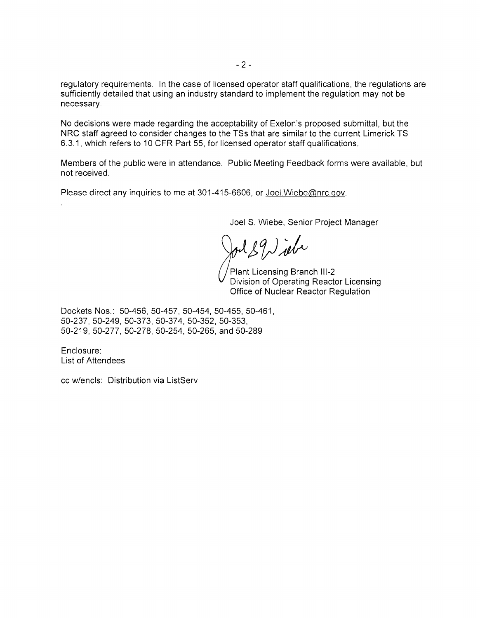regulatory requirements. In the case of licensed operator staff qualifications, the regulations are sufficiently detailed that using an industry standard to implement the regulation may not be necessary.

No decisions were made regarding the acceptability of Exelon's proposed submittal, but the NRC staff agreed to consider changes to the TSs that are similar to the current Limerick TS 6.3.1, which refers to 10 CFR Part 55, for licensed operator staff qualifications.

Members of the public were in attendance. Public Meeting Feedback forms were available, but not received.

Please direct any inquiries to me at 301-415-6606, or Joel. Wiebe@nrc.gov.

Joel S. Wiebe, Senior Project Manager

 $189$  ) ibe

Plant Licensing Branch 111-2 Division of Operating Reactor Licensing Office of Nuclear Reactor Regulation

Dockets Nos.: 50-456, 50-457, 50-454, 50-455, 50-461, 50-237, 50-249, 50-373, 50-374, 50-352, 50-353, 50-219, 50-277, 50-278, 50-254, 50-265, and 50-289

Enclosure: List of Attendees

cc w/encls: Distribution via ListServ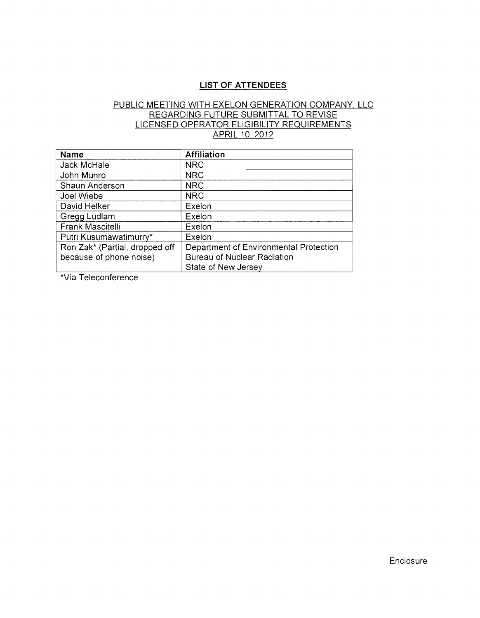## **LIST OF ATTENDEES**

# PUBLIC MEETING WITH EXELON GENERATION COMPANY, LLC REGARDING FUTURE SUBMITTAL TO REVISE LICENSED OPERATOR ELIGIBILITY REQUIREMENTS APRIL 10, 2012

| Name                           | Affiliation                            |
|--------------------------------|----------------------------------------|
| Jack McHale                    | <b>NRC</b>                             |
| John Munro                     | <b>NRC</b>                             |
| Shaun Anderson                 | <b>NRC</b>                             |
| Joel Wiebe                     | <b>NRC</b>                             |
| David Helker                   | Exelon                                 |
| Gregg Ludlam                   | Exelon                                 |
| Frank Mascitelli               | Exelon                                 |
| Putri Kusumawatimurry*         | Exelon                                 |
| Ron Zak* (Partial, dropped off | Department of Environmental Protection |
| because of phone noise)        | <b>Bureau of Nuclear Radiation</b>     |
|                                | State of New Jersey                    |

\*Via Teleconference